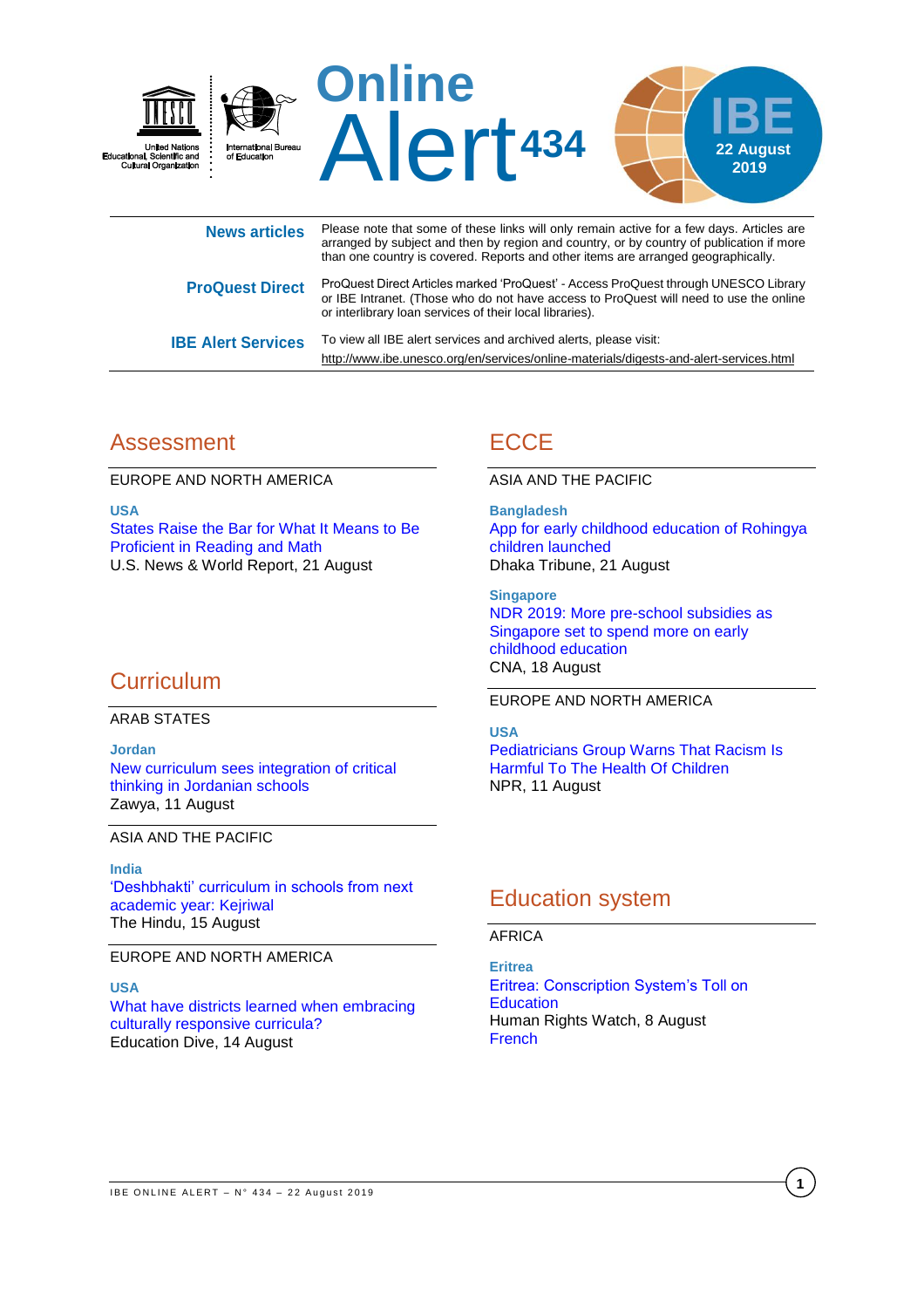

|                           | than one country is covered. Reports and other items are arranged geographically.                                                                                                                                                         |
|---------------------------|-------------------------------------------------------------------------------------------------------------------------------------------------------------------------------------------------------------------------------------------|
| <b>ProQuest Direct</b>    | ProQuest Direct Articles marked 'ProQuest' - Access ProQuest through UNESCO Library<br>or IBE Intranet. (Those who do not have access to ProQuest will need to use the online<br>or interlibrary loan services of their local libraries). |
| <b>IBE Alert Services</b> | To view all IBE alert services and archived alerts, please visit:                                                                                                                                                                         |

## Assessment

EUROPE AND NORTH AMERICA

**USA** [States Raise the Bar for What It Means to Be](https://www.usnews.com/news/education-news/articles/2019-08-21/states-raise-the-bar-for-what-it-means-to-be-proficient-in-reading-and-math)  [Proficient in Reading and Math](https://www.usnews.com/news/education-news/articles/2019-08-21/states-raise-the-bar-for-what-it-means-to-be-proficient-in-reading-and-math) U.S. News & World Report, 21 August

## **Curriculum**

#### ARAB STATES

**Jordan** [New curriculum sees integration of critical](https://www.zawya.com/mena/en/life/story/New_curriculum_sees_integration_of_critical_thinking_in_Jordanian_schools-SNG_151185877/)  [thinking in Jordanian schools](https://www.zawya.com/mena/en/life/story/New_curriculum_sees_integration_of_critical_thinking_in_Jordanian_schools-SNG_151185877/) Zawya, 11 August

#### ASIA AND THE PACIFIC

#### **India**

['Deshbhakti' curriculum in schools from next](https://www.thehindu.com/news/cities/Delhi/deshbhakti-curriculum-in-schools-from-next-academic-year-kejriwal/article29096369.ece)  [academic year: Kejriwal](https://www.thehindu.com/news/cities/Delhi/deshbhakti-curriculum-in-schools-from-next-academic-year-kejriwal/article29096369.ece) The Hindu, 15 August

EUROPE AND NORTH AMERICA

#### **USA**

[What have districts learned when embracing](https://www.educationdive.com/news/what-have-districts-learned-when-embracing-culturally-responsive-curricula/560734/)  [culturally responsive curricula?](https://www.educationdive.com/news/what-have-districts-learned-when-embracing-culturally-responsive-curricula/560734/) Education Dive, 14 August

# **ECCE**

ASIA AND THE PACIFIC

<http://www.ibe.unesco.org/en/services/online-materials/digests-and-alert-services.html>

**Bangladesh** [App for early childhood education of Rohingya](https://www.dhakatribune.com/bangladesh/rohingya-crisis/2019/08/21/app-for-early-childhood-education-of-rohingya-children-launched)  [children launched](https://www.dhakatribune.com/bangladesh/rohingya-crisis/2019/08/21/app-for-early-childhood-education-of-rohingya-children-launched) Dhaka Tribune, 21 August

**Singapore** [NDR 2019: More pre-school subsidies as](https://www.channelnewsasia.com/news/singapore/ndr-2019-more-pre-school-subsidies-income-ceiling-raised-11819180)  [Singapore set to spend more on early](https://www.channelnewsasia.com/news/singapore/ndr-2019-more-pre-school-subsidies-income-ceiling-raised-11819180)  [childhood education](https://www.channelnewsasia.com/news/singapore/ndr-2019-more-pre-school-subsidies-income-ceiling-raised-11819180) CNA, 18 August

#### EUROPE AND NORTH AMERICA

#### **USA**

[Pediatricians Group Warns That Racism Is](https://www.npr.org/2019/08/11/750314480/pediatricians-group-warns-that-racism-is-harmful-to-the-health-of-children?ft=nprml&f=)  [Harmful To The Health Of Children](https://www.npr.org/2019/08/11/750314480/pediatricians-group-warns-that-racism-is-harmful-to-the-health-of-children?ft=nprml&f=) NPR, 11 August

## Education system

### AFRICA

**Eritrea** [Eritrea: Conscription System's Toll on](https://www.hrw.org/news/2019/08/08/eritrea-conscription-systems-toll-education)  **[Education](https://www.hrw.org/news/2019/08/08/eritrea-conscription-systems-toll-education)** Human Rights Watch, 8 August [French](https://www.hrw.org/fr/news/2019/08/08/erythree-effets-prejudiciables-de-la-conscription-sur-leducation)

**1**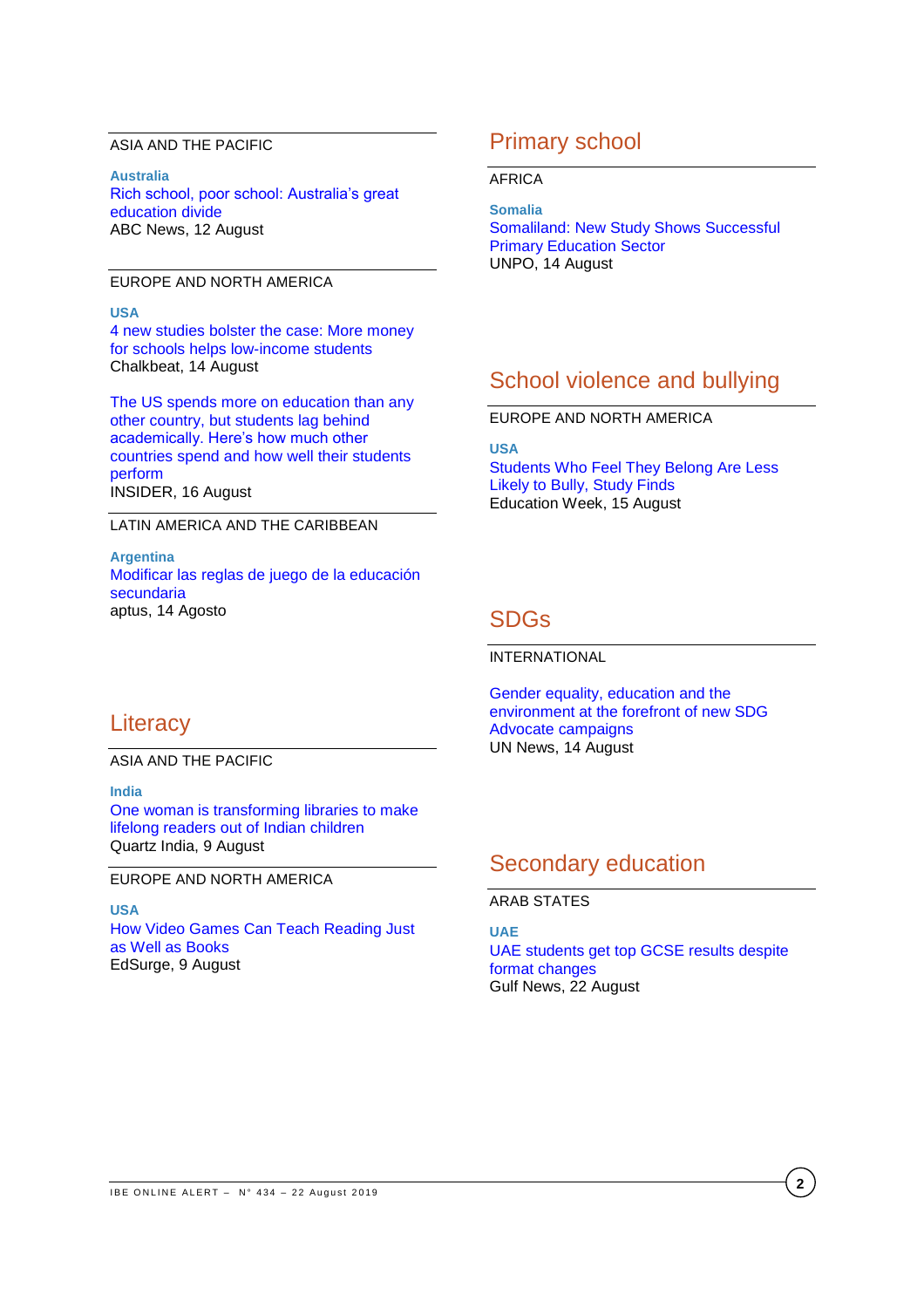#### ASIA AND THE PACIFIC

**Australia** [Rich school, poor school: Australia's great](https://www.abc.net.au/news/2019-08-13/rich-school-poor-school-australias-great-education-divide/11383384)  [education divide](https://www.abc.net.au/news/2019-08-13/rich-school-poor-school-australias-great-education-divide/11383384) ABC News, 12 August

### EUROPE AND NORTH AMERICA

#### **USA**

[4 new studies bolster the case: More money](https://www.chalkbeat.org/posts/us/2019/08/13/school-funding-spending-money-matter-latest-research-studies/)  [for schools helps low-income students](https://www.chalkbeat.org/posts/us/2019/08/13/school-funding-spending-money-matter-latest-research-studies/) Chalkbeat, 14 August

[The US spends more on education than any](https://www.insider.com/how-much-countries-around-the-world-spend-on-education-2019-8)  [other country, but students lag behind](https://www.insider.com/how-much-countries-around-the-world-spend-on-education-2019-8)  [academically. Here's how much other](https://www.insider.com/how-much-countries-around-the-world-spend-on-education-2019-8)  [countries spend and how well their students](https://www.insider.com/how-much-countries-around-the-world-spend-on-education-2019-8)  [perform](https://www.insider.com/how-much-countries-around-the-world-spend-on-education-2019-8) INSIDER, 16 August

### LATIN AMERICA AND THE CARIBBEAN

**Argentina** [Modificar las reglas de juego de la educación](https://aptus.com.ar/modificar-las-reglas-de-juego-de-la-educacion-secundaria/)  [secundaria](https://aptus.com.ar/modificar-las-reglas-de-juego-de-la-educacion-secundaria/) aptus, 14 Agosto

## Primary school

#### AFRICA

**Somalia** Somaliland: [New Study Shows Successful](https://unpo.org/article/21622)  [Primary Education Sector](https://unpo.org/article/21622) UNPO, 14 August

## School violence and bullying

### EUROPE AND NORTH AMERICA

**USA**

[Students Who Feel They Belong Are Less](http://blogs.edweek.org/edweek/inside-school-research/2019/08/students_who_feel_they_belong.html)  Likely to [Bully, Study Finds](http://blogs.edweek.org/edweek/inside-school-research/2019/08/students_who_feel_they_belong.html) Education Week, 15 August

## SDGs

INTERNATIONAL

[Gender equality, education and the](https://news.un.org/en/story/2019/08/1043601)  [environment at the forefront of new SDG](https://news.un.org/en/story/2019/08/1043601)  [Advocate campaigns](https://news.un.org/en/story/2019/08/1043601) UN News, 14 August

## **Literacy**

### ASIA AND THE PACIFIC

**India** [One woman is transforming libraries to make](https://qz.com/india/1678778/delhis-one-up-library-wants-more-indian-kids-to-take-up-reading/)  [lifelong readers out of Indian children](https://qz.com/india/1678778/delhis-one-up-library-wants-more-indian-kids-to-take-up-reading/) Quartz India, 9 August

### EUROPE AND NORTH AMERICA

**USA** [How Video Games Can Teach Reading Just](https://www.edsurge.com/news/2019-08-09-how-video-games-can-teach-reading-just-as-well-as-books)  [as Well as Books](https://www.edsurge.com/news/2019-08-09-how-video-games-can-teach-reading-just-as-well-as-books) EdSurge, 9 August

## Secondary education

### ARAB STATES

**UAE** [UAE students get top GCSE results despite](https://gulfnews.com/uae/education/uae-students-get-top-gcse-results-despite-format-changes-1.65946057)  [format changes](https://gulfnews.com/uae/education/uae-students-get-top-gcse-results-despite-format-changes-1.65946057) Gulf News, 22 August

**2**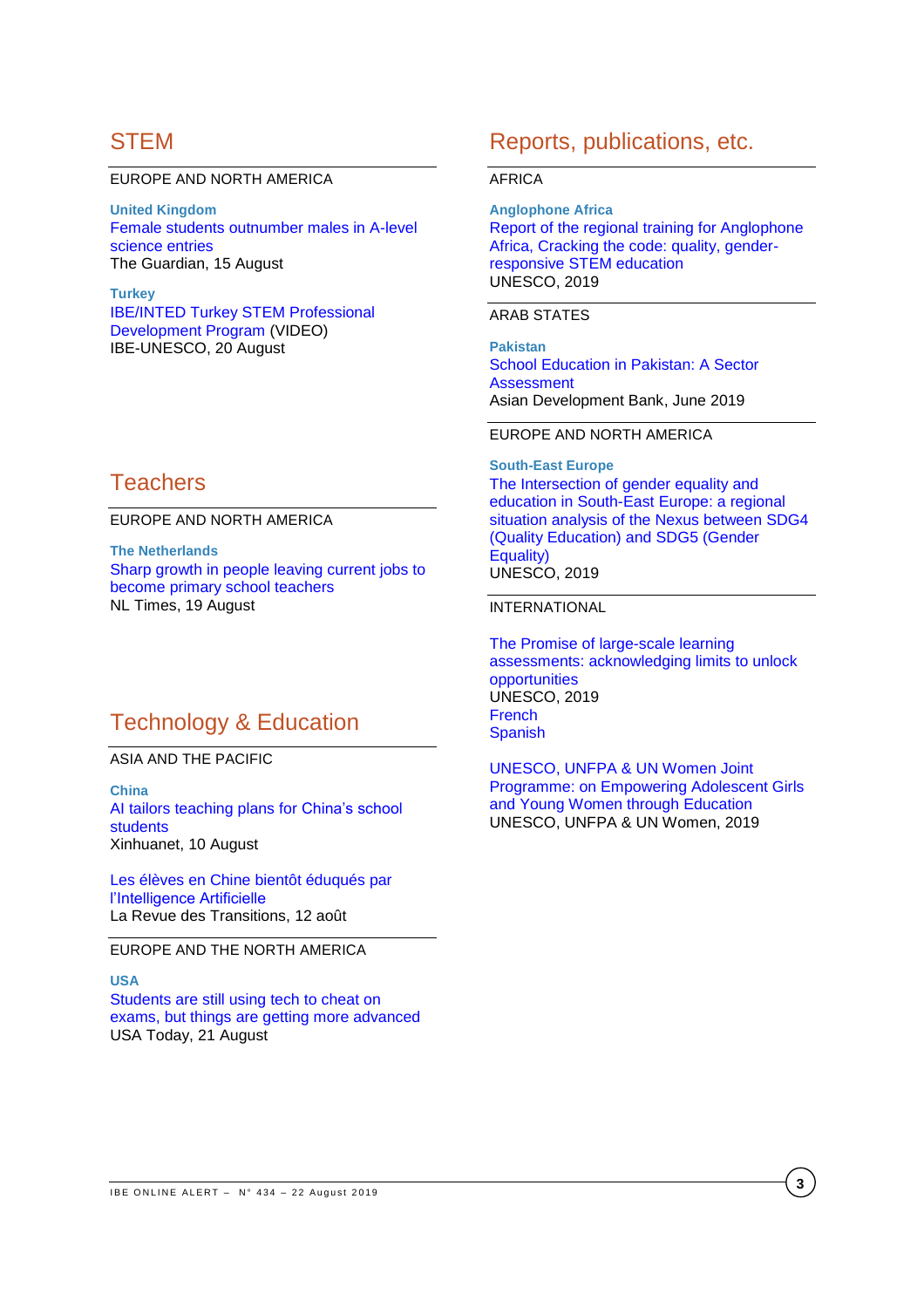## **STEM**

#### EUROPE AND NORTH AMERICA

**United Kingdom** [Female students outnumber males in A-level](https://www.theguardian.com/education/2019/aug/15/female-students-outnumber-males-in-a-level-science-entries)  [science entries](https://www.theguardian.com/education/2019/aug/15/female-students-outnumber-males-in-a-level-science-entries) The Guardian, 15 August

**Turkey** IBE/INTED [Turkey STEM Professional](https://www.youtube.com/watch?time_continue=1&v=megdUXs2Lyo)  [Development Program](https://www.youtube.com/watch?time_continue=1&v=megdUXs2Lyo) (VIDEO) IBE-UNESCO, 20 August

## **Teachers**

EUROPE AND NORTH AMERICA

**The Netherlands** [Sharp growth in people leaving current jobs to](https://nltimes.nl/2019/08/19/sharp-growth-people-leaving-current-jobs-become-primary-school-teachers)  [become primary school teachers](https://nltimes.nl/2019/08/19/sharp-growth-people-leaving-current-jobs-become-primary-school-teachers) NL Times, 19 August

## Technology & Education

ASIA AND THE PACIFIC

**China** [AI tailors teaching plans for China's school](http://www.xinhuanet.com/english/2019-08/10/c_138298134.htm)  [students](http://www.xinhuanet.com/english/2019-08/10/c_138298134.htm) Xinhuanet, 10 August

[Les élèves en Chine bientôt éduqués par](https://larevuedestransitions.fr/2019/08/12/les-eleves-en-chine-bientot-eduques-par-lintelligence-artificielle/)  [l'Intelligence Artificielle](https://larevuedestransitions.fr/2019/08/12/les-eleves-en-chine-bientot-eduques-par-lintelligence-artificielle/) La Revue des Transitions, 12 août

EUROPE AND THE NORTH AMERICA

### **USA**

[Students are still using tech to cheat on](https://eu.usatoday.com/story/tech/2019/08/16/how-teachers-preventing-high-tech-cheating-classroom/2017389001/)  [exams, but things are getting more advanced](https://eu.usatoday.com/story/tech/2019/08/16/how-teachers-preventing-high-tech-cheating-classroom/2017389001/) USA Today, 21 August

## Reports, publications, etc.

#### AFRICA

**Anglophone Africa** [Report of the regional training for Anglophone](https://unesdoc.unesco.org/ark:/48223/pf0000369978?posInSet=25&queryId=N-07ea377e-f12b-4ece-a353-67f0e1dc155e)  [Africa, Cracking the code: quality, gender](https://unesdoc.unesco.org/ark:/48223/pf0000369978?posInSet=25&queryId=N-07ea377e-f12b-4ece-a353-67f0e1dc155e)[responsive STEM education](https://unesdoc.unesco.org/ark:/48223/pf0000369978?posInSet=25&queryId=N-07ea377e-f12b-4ece-a353-67f0e1dc155e) UNESCO, 2019

#### ARAB STATES

**Pakistan** [School Education in Pakistan: A](https://www.adb.org/documents/pakistan-school-education-sector-assessment) Sector **[Assessment](https://www.adb.org/documents/pakistan-school-education-sector-assessment)** Asian Development Bank, June 2019

### EUROPE AND NORTH AMERICA

**South-East Europe** [The Intersection of gender equality and](https://unesdoc.unesco.org/ark:/48223/pf0000369980?posInSet=26&queryId=N-07ea377e-f12b-4ece-a353-67f0e1dc155e)  [education in South-East Europe: a regional](https://unesdoc.unesco.org/ark:/48223/pf0000369980?posInSet=26&queryId=N-07ea377e-f12b-4ece-a353-67f0e1dc155e)  [situation analysis of the Nexus between SDG4](https://unesdoc.unesco.org/ark:/48223/pf0000369980?posInSet=26&queryId=N-07ea377e-f12b-4ece-a353-67f0e1dc155e)  [\(Quality Education\) and SDG5 \(Gender](https://unesdoc.unesco.org/ark:/48223/pf0000369980?posInSet=26&queryId=N-07ea377e-f12b-4ece-a353-67f0e1dc155e)  [Equality\)](https://unesdoc.unesco.org/ark:/48223/pf0000369980?posInSet=26&queryId=N-07ea377e-f12b-4ece-a353-67f0e1dc155e) UNESCO, 2019

### INTERNATIONAL

[The Promise of large-scale learning](https://unesdoc.unesco.org/ark:/48223/pf0000369697?posInSet=2&queryId=N-07ea377e-f12b-4ece-a353-67f0e1dc155e)  [assessments: acknowledging limits to unlock](https://unesdoc.unesco.org/ark:/48223/pf0000369697?posInSet=2&queryId=N-07ea377e-f12b-4ece-a353-67f0e1dc155e)  [opportunities](https://unesdoc.unesco.org/ark:/48223/pf0000369697?posInSet=2&queryId=N-07ea377e-f12b-4ece-a353-67f0e1dc155e) UNESCO, 2019 [French](https://unesdoc.unesco.org/ark:/48223/pf0000369946) [Spanish](https://unesdoc.unesco.org/ark:/48223/pf0000369947)

[UNESCO, UNFPA & UN Women Joint](https://unesdoc.unesco.org/ark:/48223/pf0000368657?posInSet=42&queryId=N-07ea377e-f12b-4ece-a353-67f0e1dc155e)  [Programme: on Empowering Adolescent Girls](https://unesdoc.unesco.org/ark:/48223/pf0000368657?posInSet=42&queryId=N-07ea377e-f12b-4ece-a353-67f0e1dc155e)  [and Young Women through Education](https://unesdoc.unesco.org/ark:/48223/pf0000368657?posInSet=42&queryId=N-07ea377e-f12b-4ece-a353-67f0e1dc155e) UNESCO, UNFPA & UN Women, 2019